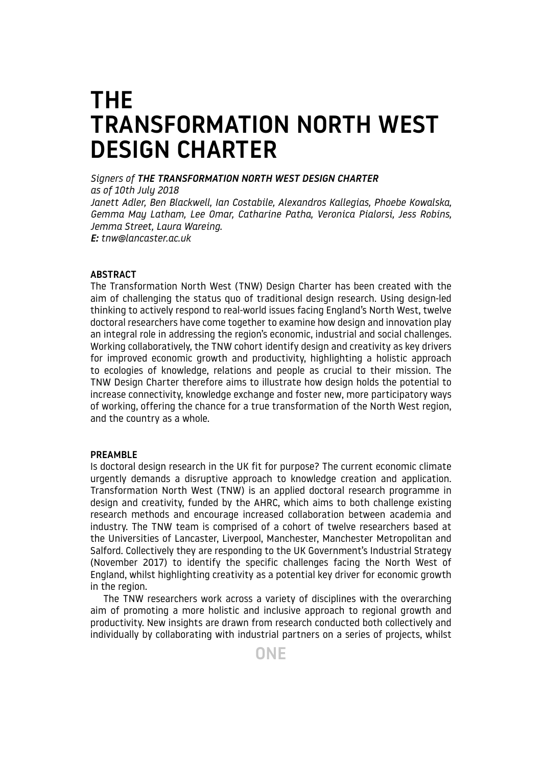# THE TRANSFORMATION NORTH WEST DESIGN CHARTER

*Signers of THE TRANSFORMATION NORTH WEST DESIGN CHARTER as of 10th July 2018 Janett Adler, Ben Blackwell, Ian Costabile, Alexandros Kallegias, Phoebe Kowalska, Gemma May Latham, Lee Omar, Catharine Patha, Veronica Pialorsi, Jess Robins,* 

*Jemma Street, Laura Wareing. E: tnw@lancaster.ac.uk*

# **ABSTRACT**

The Transformation North West (TNW) Design Charter has been created with the aim of challenging the status quo of traditional design research. Using design-led thinking to actively respond to real-world issues facing England's North West, twelve doctoral researchers have come together to examine how design and innovation play an integral role in addressing the region's economic, industrial and social challenges. Working collaboratively, the TNW cohort identify design and creativity as key drivers for improved economic growth and productivity, highlighting a holistic approach to ecologies of knowledge, relations and people as crucial to their mission. The TNW Design Charter therefore aims to illustrate how design holds the potential to increase connectivity, knowledge exchange and foster new, more participatory ways of working, offering the chance for a true transformation of the North West region, and the country as a whole.

## PREAMBLE

Is doctoral design research in the UK fit for purpose? The current economic climate urgently demands a disruptive approach to knowledge creation and application. Transformation North West (TNW) is an applied doctoral research programme in design and creativity, funded by the AHRC, which aims to both challenge existing research methods and encourage increased collaboration between academia and industry. The TNW team is comprised of a cohort of twelve researchers based at the Universities of Lancaster, Liverpool, Manchester, Manchester Metropolitan and Salford. Collectively they are responding to the UK Government's Industrial Strategy (November 2017) to identify the specific challenges facing the North West of England, whilst highlighting creativity as a potential key driver for economic growth in the region.

The TNW researchers work across a variety of disciplines with the overarching aim of promoting a more holistic and inclusive approach to regional growth and productivity. New insights are drawn from research conducted both collectively and individually by collaborating with industrial partners on a series of projects, whilst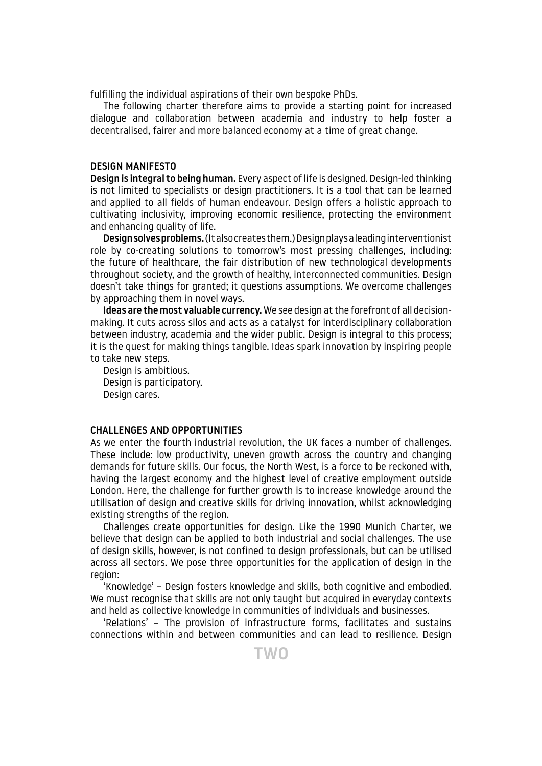fulfilling the individual aspirations of their own bespoke PhDs.

The following charter therefore aims to provide a starting point for increased dialogue and collaboration between academia and industry to help foster a decentralised, fairer and more balanced economy at a time of great change.

## DESIGN MANIFESTO

Design is integral to being human. Every aspect of life is designed. Design-led thinking is not limited to specialists or design practitioners. It is a tool that can be learned and applied to all fields of human endeavour. Design offers a holistic approach to cultivating inclusivity, improving economic resilience, protecting the environment and enhancing quality of life.

Design solves problems. (It also creates them.) Design plays a leading interventionist role by co-creating solutions to tomorrow's most pressing challenges, including: the future of healthcare, the fair distribution of new technological developments throughout society, and the growth of healthy, interconnected communities. Design doesn't take things for granted; it questions assumptions. We overcome challenges by approaching them in novel ways.

Ideas are the most valuable currency. We see design at the forefront of all decisionmaking. It cuts across silos and acts as a catalyst for interdisciplinary collaboration between industry, academia and the wider public. Design is integral to this process; it is the quest for making things tangible. Ideas spark innovation by inspiring people to take new steps.

Design is ambitious. Design is participatory. Design cares.

#### CHALLENGES AND OPPORTUNITIES

As we enter the fourth industrial revolution, the UK faces a number of challenges. These include: low productivity, uneven growth across the country and changing demands for future skills. Our focus, the North West, is a force to be reckoned with, having the largest economy and the highest level of creative employment outside London. Here, the challenge for further growth is to increase knowledge around the utilisation of design and creative skills for driving innovation, whilst acknowledging existing strengths of the region.

Challenges create opportunities for design. Like the 1990 Munich Charter, we believe that design can be applied to both industrial and social challenges. The use of design skills, however, is not confined to design professionals, but can be utilised across all sectors. We pose three opportunities for the application of design in the region:

'Knowledge' – Design fosters knowledge and skills, both cognitive and embodied. We must recognise that skills are not only taught but acquired in everyday contexts and held as collective knowledge in communities of individuals and businesses.

'Relations' – The provision of infrastructure forms, facilitates and sustains connections within and between communities and can lead to resilience. Design